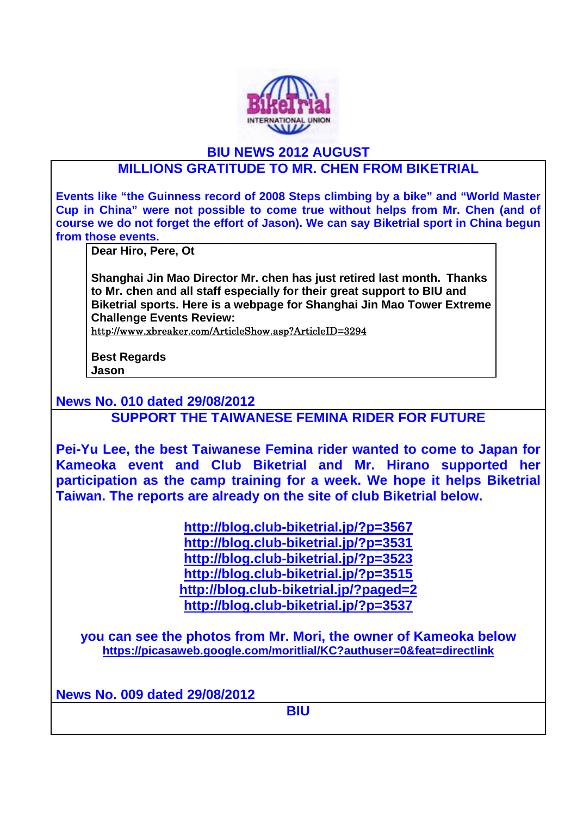

## **BIU NEWS 2012 AUGUST**

## **MILLIONS GRATITUDE TO MR. CHEN FROM BIKETRIAL**

**Events like "the Guinness record of 2008 Steps climbing by a bike" and "World Master Cup in China" were not possible to come true without helps from Mr. Chen (and of course we do not forget the effort of Jason). We can say Biketrial sport in China begun from those events.** 

**Dear Hiro, Pere, Ot** 

**Shanghai Jin Mao Director Mr. chen has just retired last month. Thanks to Mr. chen and all staff especially for their great support to BIU and Biketrial sports. Here is a webpage for Shanghai Jin Mao Tower Extreme Challenge Events Review:** 

http://www.xbreaker.com/ArticleShow.asp?ArticleID=3294

**Best Regards Jason** 

**News No. 010 dated 29/08/2012** 

**SUPPORT THE TAIWANESE FEMINA RIDER FOR FUTURE** 

**Pei-Yu Lee, the best Taiwanese Femina rider wanted to come to Japan for Kameoka event and Club Biketrial and Mr. Hirano supported her participation as the camp training for a week. We hope it helps Biketrial Taiwan. The reports are already on the site of club Biketrial below.** 

> **http://blog.club-biketrial.jp/?p=3567 http://blog.club-biketrial.jp/?p=3531 http://blog.club-biketrial.jp/?p=3523 http://blog.club-biketrial.jp/?p=3515 http://blog.club-biketrial.jp/?paged=2 http://blog.club-biketrial.jp/?p=3537**

**you can see the photos from Mr. Mori, the owner of Kameoka below https://picasaweb.google.com/moritlial/KC?authuser=0&feat=directlink** 

**News No. 009 dated 29/08/2012** 

**BIU**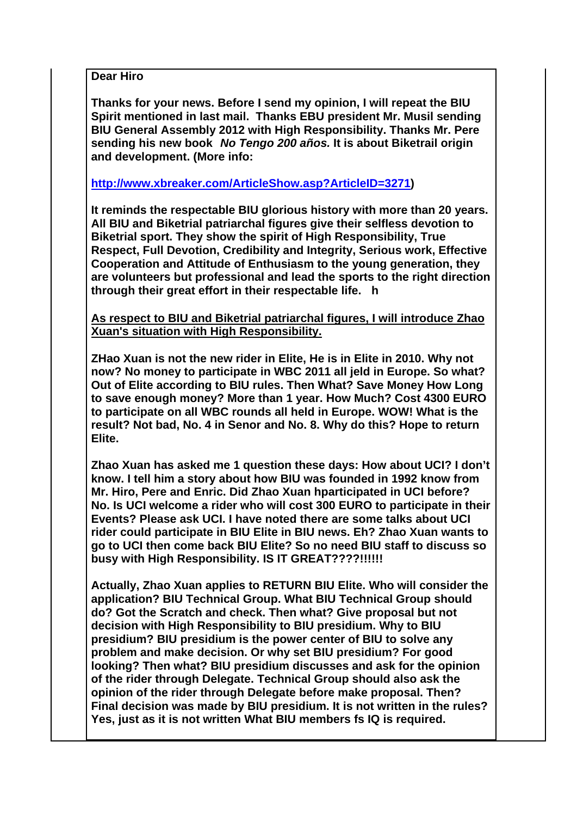**Dear Hiro** 

**Thanks for your news. Before I send my opinion, I will repeat the BIU Spirit mentioned in last mail. Thanks EBU president Mr. Musil sending BIU General Assembly 2012 with High Responsibility. Thanks Mr. Pere sending his new book** *No Tengo 200 años.* **It is about Biketrail origin and development. (More info:** 

**http://www.xbreaker.com/ArticleShow.asp?ArticleID=3271)** 

**It reminds the respectable BIU glorious history with more than 20 years. All BIU and Biketrial patriarchal figures give their selfless devotion to Biketrial sport. They show the spirit of High Responsibility, True Respect, Full Devotion, Credibility and Integrity, Serious work, Effective Cooperation and Attitude of Enthusiasm to the young generation, they are volunteers but professional and lead the sports to the right direction through their great effort in their respectable life. h** 

**As respect to BIU and Biketrial patriarchal figures, I will introduce Zhao Xuan's situation with High Responsibility.** 

**ZHao Xuan is not the new rider in Elite, He is in Elite in 2010. Why not now? No money to participate in WBC 2011 all jeld in Europe. So what? Out of Elite according to BIU rules. Then What? Save Money How Long to save enough money? More than 1 year. How Much? Cost 4300 EURO to participate on all WBC rounds all held in Europe. WOW! What is the result? Not bad, No. 4 in Senor and No. 8. Why do this? Hope to return Elite.** 

**Zhao Xuan has asked me 1 question these days: How about UCI? I don't know. I tell him a story about how BIU was founded in 1992 know from Mr. Hiro, Pere and Enric. Did Zhao Xuan hparticipated in UCI before? No. Is UCI welcome a rider who will cost 300 EURO to participate in their Events? Please ask UCI. I have noted there are some talks about UCI rider could participate in BIU Elite in BIU news. Eh? Zhao Xuan wants to go to UCI then come back BIU Elite? So no need BIU staff to discuss so busy with High Responsibility. IS IT GREAT????!!!!!!** 

**Actually, Zhao Xuan applies to RETURN BIU Elite. Who will consider the application? BIU Technical Group. What BIU Technical Group should do? Got the Scratch and check. Then what? Give proposal but not decision with High Responsibility to BIU presidium. Why to BIU presidium? BIU presidium is the power center of BIU to solve any problem and make decision. Or why set BIU presidium? For good looking? Then what? BIU presidium discusses and ask for the opinion of the rider through Delegate. Technical Group should also ask the opinion of the rider through Delegate before make proposal. Then? Final decision was made by BIU presidium. It is not written in the rules? Yes, just as it is not written What BIU members fs IQ is required.**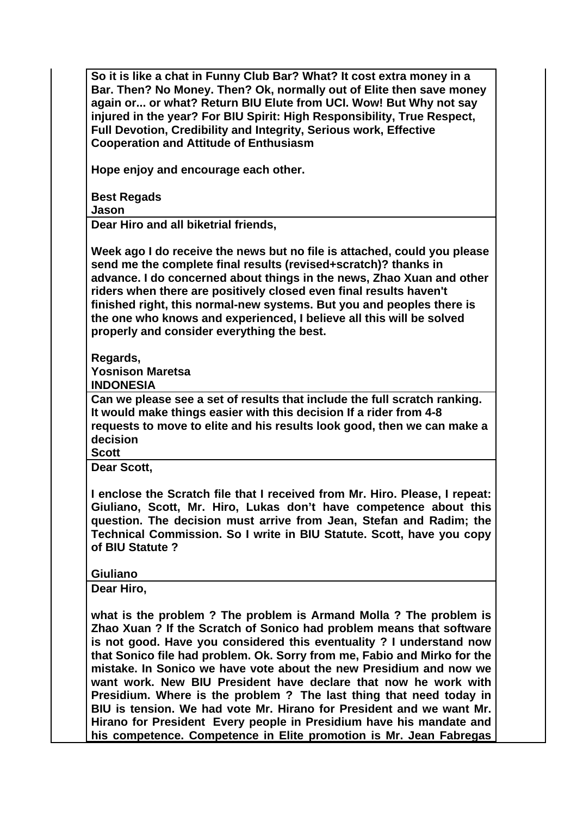**So it is like a chat in Funny Club Bar? What? It cost extra money in a Bar. Then? No Money. Then? Ok, normally out of Elite then save money again or... or what? Return BIU Elute from UCI. Wow! But Why not say injured in the year? For BIU Spirit: High Responsibility, True Respect, Full Devotion, Credibility and Integrity, Serious work, Effective Cooperation and Attitude of Enthusiasm** 

**Hope enjoy and encourage each other.** 

**Best Regads Jason** 

**Dear Hiro and all biketrial friends,** 

**Week ago I do receive the news but no file is attached, could you please send me the complete final results (revised+scratch)? thanks in advance. I do concerned about things in the news, Zhao Xuan and other riders when there are positively closed even final results haven't finished right, this normal-new systems. But you and peoples there is the one who knows and experienced, I believe all this will be solved properly and consider everything the best.** 

**Regards, Yosnison Maretsa INDONESIA** 

**Can we please see a set of results that include the full scratch ranking. It would make things easier with this decision If a rider from 4-8 requests to move to elite and his results look good, then we can make a decision** 

**Scott** 

**Dear Scott,** 

**I enclose the Scratch file that I received from Mr. Hiro. Please, I repeat: Giuliano, Scott, Mr. Hiro, Lukas don't have competence about this question. The decision must arrive from Jean, Stefan and Radim; the Technical Commission. So I write in BIU Statute. Scott, have you copy of BIU Statute ?** 

## **Giuliano**

**Dear Hiro,** 

**what is the problem ? The problem is Armand Molla ? The problem is Zhao Xuan ? If the Scratch of Sonico had problem means that software is not good. Have you considered this eventuality ? I understand now that Sonico file had problem. Ok. Sorry from me, Fabio and Mirko for the mistake. In Sonico we have vote about the new Presidium and now we want work. New BIU President have declare that now he work with Presidium. Where is the problem ? The last thing that need today in BIU is tension. We had vote Mr. Hirano for President and we want Mr. Hirano for President Every people in Presidium have his mandate and his competence. Competence in Elite promotion is Mr. Jean Fabregas**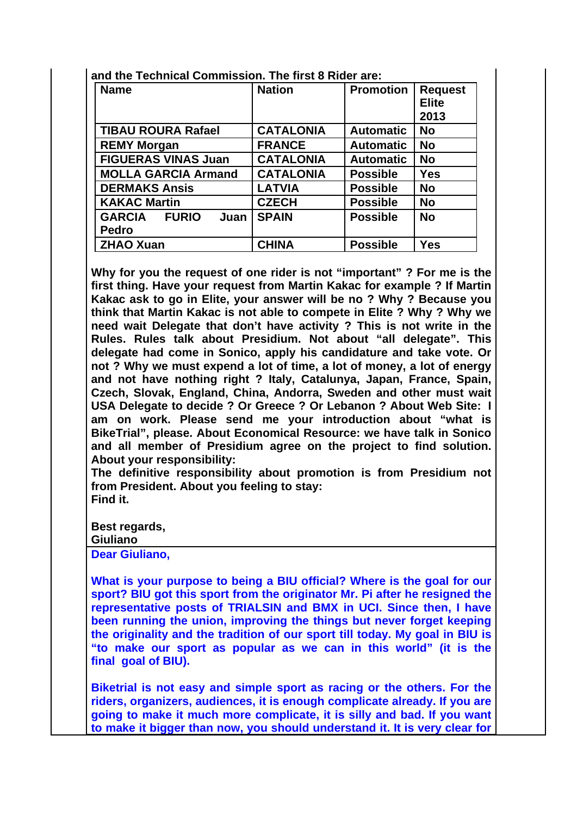| <b>Name</b>                                    | <b>Nation</b>    | <b>Promotion</b> | <b>Request</b><br><b>Elite</b><br>2013 |
|------------------------------------------------|------------------|------------------|----------------------------------------|
| <b>TIBAU ROURA Rafael</b>                      | <b>CATALONIA</b> | <b>Automatic</b> | <b>No</b>                              |
| <b>REMY Morgan</b>                             | <b>FRANCE</b>    | <b>Automatic</b> | <b>No</b>                              |
| <b>FIGUERAS VINAS Juan</b>                     | <b>CATALONIA</b> | <b>Automatic</b> | <b>No</b>                              |
| <b>MOLLA GARCIA Armand</b>                     | <b>CATALONIA</b> | <b>Possible</b>  | <b>Yes</b>                             |
| <b>DERMAKS Ansis</b>                           | <b>LATVIA</b>    | <b>Possible</b>  | <b>No</b>                              |
| <b>KAKAC Martin</b>                            | <b>CZECH</b>     | <b>Possible</b>  | <b>No</b>                              |
| <b>GARCIA</b><br><b>FURIO</b><br>Juan<br>Pedro | <b>SPAIN</b>     | <b>Possible</b>  | <b>No</b>                              |
| <b>ZHAO Xuan</b>                               | <b>CHINA</b>     | <b>Possible</b>  | <b>Yes</b>                             |

**and the Technical Commission. The first 8 Rider are:** 

**Why for you the request of one rider is not "important" ? For me is the first thing. Have your request from Martin Kakac for example ? If Martin Kakac ask to go in Elite, your answer will be no ? Why ? Because you think that Martin Kakac is not able to compete in Elite ? Why ? Why we need wait Delegate that don't have activity ? This is not write in the Rules. Rules talk about Presidium. Not about "all delegate". This delegate had come in Sonico, apply his candidature and take vote. Or not ? Why we must expend a lot of time, a lot of money, a lot of energy and not have nothing right ? Italy, Catalunya, Japan, France, Spain, Czech, Slovak, England, China, Andorra, Sweden and other must wait USA Delegate to decide ? Or Greece ? Or Lebanon ? About Web Site: I am on work. Please send me your introduction about "what is BikeTrial", please. About Economical Resource: we have talk in Sonico and all member of Presidium agree on the project to find solution. About your responsibility:** 

**The definitive responsibility about promotion is from Presidium not from President. About you feeling to stay: Find it.** 

**Best regards, Giuliano** 

**Dear Giuliano,** 

**What is your purpose to being a BIU official? Where is the goal for our sport? BIU got this sport from the originator Mr. Pi after he resigned the representative posts of TRIALSIN and BMX in UCI. Since then, I have been running the union, improving the things but never forget keeping the originality and the tradition of our sport till today. My goal in BIU is "to make our sport as popular as we can in this world" (it is the final goal of BIU).** 

**Biketrial is not easy and simple sport as racing or the others. For the riders, organizers, audiences, it is enough complicate already. If you are going to make it much more complicate, it is silly and bad. If you want to make it bigger than now, you should understand it. It is very clear for**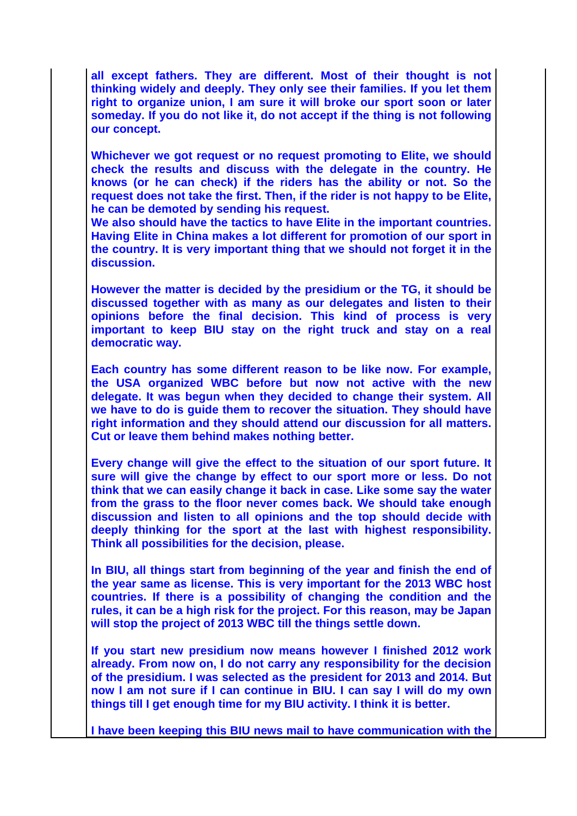**all except fathers. They are different. Most of their thought is not thinking widely and deeply. They only see their families. If you let them right to organize union, I am sure it will broke our sport soon or later someday. If you do not like it, do not accept if the thing is not following our concept.** 

**Whichever we got request or no request promoting to Elite, we should check the results and discuss with the delegate in the country. He knows (or he can check) if the riders has the ability or not. So the request does not take the first. Then, if the rider is not happy to be Elite, he can be demoted by sending his request.** 

**We also should have the tactics to have Elite in the important countries. Having Elite in China makes a lot different for promotion of our sport in the country. It is very important thing that we should not forget it in the discussion.** 

**However the matter is decided by the presidium or the TG, it should be discussed together with as many as our delegates and listen to their opinions before the final decision. This kind of process is very important to keep BIU stay on the right truck and stay on a real democratic way.** 

**Each country has some different reason to be like now. For example, the USA organized WBC before but now not active with the new delegate. It was begun when they decided to change their system. All we have to do is guide them to recover the situation. They should have right information and they should attend our discussion for all matters. Cut or leave them behind makes nothing better.** 

**Every change will give the effect to the situation of our sport future. It sure will give the change by effect to our sport more or less. Do not think that we can easily change it back in case. Like some say the water from the grass to the floor never comes back. We should take enough discussion and listen to all opinions and the top should decide with deeply thinking for the sport at the last with highest responsibility. Think all possibilities for the decision, please.** 

**In BIU, all things start from beginning of the year and finish the end of the year same as license. This is very important for the 2013 WBC host countries. If there is a possibility of changing the condition and the rules, it can be a high risk for the project. For this reason, may be Japan will stop the project of 2013 WBC till the things settle down.** 

**If you start new presidium now means however I finished 2012 work already. From now on, I do not carry any responsibility for the decision of the presidium. I was selected as the president for 2013 and 2014. But now I am not sure if I can continue in BIU. I can say I will do my own things till I get enough time for my BIU activity. I think it is better.** 

**I have been keeping this BIU news mail to have communication with the**